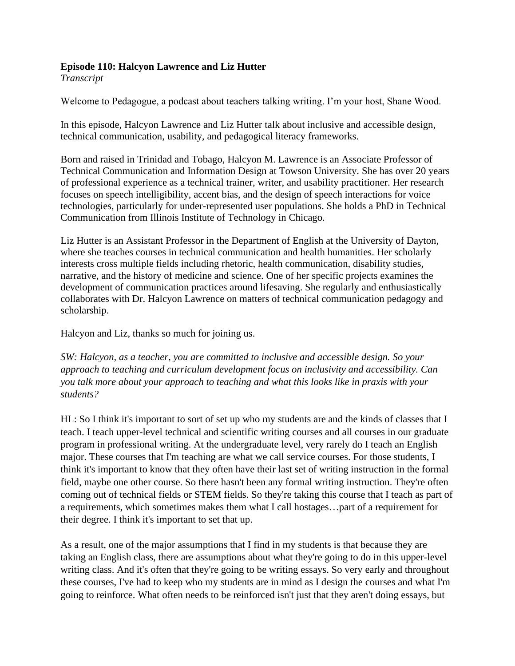## **Episode 110: Halcyon Lawrence and Liz Hutter**

*Transcript* 

Welcome to Pedagogue, a podcast about teachers talking writing. I'm your host, Shane Wood.

In this episode, Halcyon Lawrence and Liz Hutter talk about inclusive and accessible design, technical communication, usability, and pedagogical literacy frameworks.

Born and raised in Trinidad and Tobago, Halcyon M. Lawrence is an Associate Professor of Technical Communication and Information Design at Towson University. She has over 20 years of professional experience as a technical trainer, writer, and usability practitioner. Her research focuses on speech intelligibility, accent bias, and the design of speech interactions for voice technologies, particularly for under-represented user populations. She holds a PhD in Technical Communication from Illinois Institute of Technology in Chicago.

Liz Hutter is an Assistant Professor in the Department of English at the University of Dayton, where she teaches courses in technical communication and health humanities. Her scholarly interests cross multiple fields including rhetoric, health communication, disability studies, narrative, and the history of medicine and science. One of her specific projects examines the development of communication practices around lifesaving. She regularly and enthusiastically collaborates with Dr. Halcyon Lawrence on matters of technical communication pedagogy and scholarship.

Halcyon and Liz, thanks so much for joining us.

*SW: Halcyon, as a teacher, you are committed to inclusive and accessible design. So your approach to teaching and curriculum development focus on inclusivity and accessibility. Can you talk more about your approach to teaching and what this looks like in praxis with your students?* 

HL: So I think it's important to sort of set up who my students are and the kinds of classes that I teach. I teach upper-level technical and scientific writing courses and all courses in our graduate program in professional writing. At the undergraduate level, very rarely do I teach an English major. These courses that I'm teaching are what we call service courses. For those students, I think it's important to know that they often have their last set of writing instruction in the formal field, maybe one other course. So there hasn't been any formal writing instruction. They're often coming out of technical fields or STEM fields. So they're taking this course that I teach as part of a requirements, which sometimes makes them what I call hostages…part of a requirement for their degree. I think it's important to set that up.

As a result, one of the major assumptions that I find in my students is that because they are taking an English class, there are assumptions about what they're going to do in this upper-level writing class. And it's often that they're going to be writing essays. So very early and throughout these courses, I've had to keep who my students are in mind as I design the courses and what I'm going to reinforce. What often needs to be reinforced isn't just that they aren't doing essays, but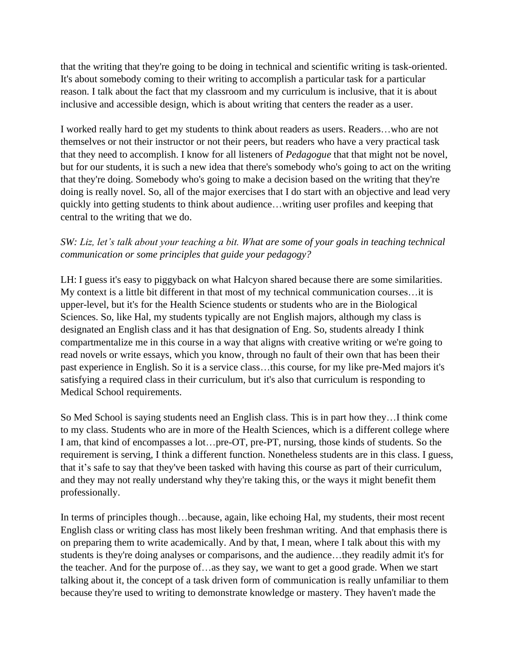that the writing that they're going to be doing in technical and scientific writing is task-oriented. It's about somebody coming to their writing to accomplish a particular task for a particular reason. I talk about the fact that my classroom and my curriculum is inclusive, that it is about inclusive and accessible design, which is about writing that centers the reader as a user.

I worked really hard to get my students to think about readers as users. Readers…who are not themselves or not their instructor or not their peers, but readers who have a very practical task that they need to accomplish. I know for all listeners of *Pedagogue* that that might not be novel, but for our students, it is such a new idea that there's somebody who's going to act on the writing that they're doing. Somebody who's going to make a decision based on the writing that they're doing is really novel. So, all of the major exercises that I do start with an objective and lead very quickly into getting students to think about audience…writing user profiles and keeping that central to the writing that we do.

## *SW: Liz, let's talk about your teaching a bit. What are some of your goals in teaching technical communication or some principles that guide your pedagogy?*

LH: I guess it's easy to piggyback on what Halcyon shared because there are some similarities. My context is a little bit different in that most of my technical communication courses…it is upper-level, but it's for the Health Science students or students who are in the Biological Sciences. So, like Hal, my students typically are not English majors, although my class is designated an English class and it has that designation of Eng. So, students already I think compartmentalize me in this course in a way that aligns with creative writing or we're going to read novels or write essays, which you know, through no fault of their own that has been their past experience in English. So it is a service class…this course, for my like pre-Med majors it's satisfying a required class in their curriculum, but it's also that curriculum is responding to Medical School requirements.

So Med School is saying students need an English class. This is in part how they…I think come to my class. Students who are in more of the Health Sciences, which is a different college where I am, that kind of encompasses a lot…pre-OT, pre-PT, nursing, those kinds of students. So the requirement is serving, I think a different function. Nonetheless students are in this class. I guess, that it's safe to say that they've been tasked with having this course as part of their curriculum, and they may not really understand why they're taking this, or the ways it might benefit them professionally.

In terms of principles though…because, again, like echoing Hal, my students, their most recent English class or writing class has most likely been freshman writing. And that emphasis there is on preparing them to write academically. And by that, I mean, where I talk about this with my students is they're doing analyses or comparisons, and the audience…they readily admit it's for the teacher. And for the purpose of…as they say, we want to get a good grade. When we start talking about it, the concept of a task driven form of communication is really unfamiliar to them because they're used to writing to demonstrate knowledge or mastery. They haven't made the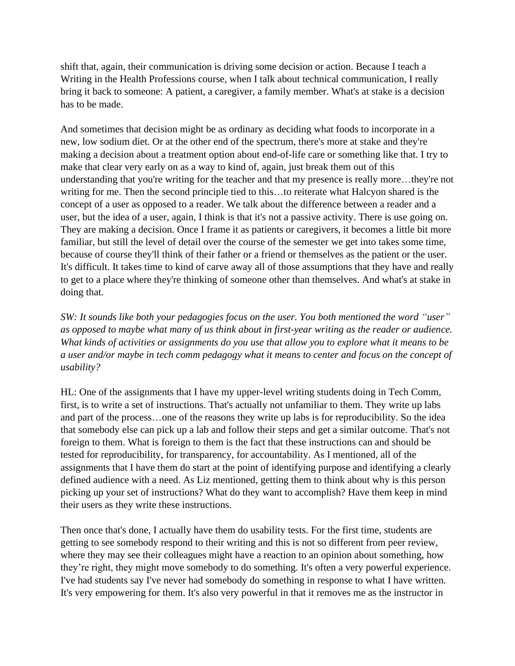shift that, again, their communication is driving some decision or action. Because I teach a Writing in the Health Professions course, when I talk about technical communication, I really bring it back to someone: A patient, a caregiver, a family member. What's at stake is a decision has to be made.

And sometimes that decision might be as ordinary as deciding what foods to incorporate in a new, low sodium diet. Or at the other end of the spectrum, there's more at stake and they're making a decision about a treatment option about end-of-life care or something like that. I try to make that clear very early on as a way to kind of, again, just break them out of this understanding that you're writing for the teacher and that my presence is really more...they're not writing for me. Then the second principle tied to this…to reiterate what Halcyon shared is the concept of a user as opposed to a reader. We talk about the difference between a reader and a user, but the idea of a user, again, I think is that it's not a passive activity. There is use going on. They are making a decision. Once I frame it as patients or caregivers, it becomes a little bit more familiar, but still the level of detail over the course of the semester we get into takes some time, because of course they'll think of their father or a friend or themselves as the patient or the user. It's difficult. It takes time to kind of carve away all of those assumptions that they have and really to get to a place where they're thinking of someone other than themselves. And what's at stake in doing that.

*SW: It sounds like both your pedagogies focus on the user. You both mentioned the word "user" as opposed to maybe what many of us think about in first-year writing as the reader or audience. What kinds of activities or assignments do you use that allow you to explore what it means to be a user and/or maybe in tech comm pedagogy what it means to center and focus on the concept of usability?* 

HL: One of the assignments that I have my upper-level writing students doing in Tech Comm, first, is to write a set of instructions. That's actually not unfamiliar to them. They write up labs and part of the process…one of the reasons they write up labs is for reproducibility. So the idea that somebody else can pick up a lab and follow their steps and get a similar outcome. That's not foreign to them. What is foreign to them is the fact that these instructions can and should be tested for reproducibility, for transparency, for accountability. As I mentioned, all of the assignments that I have them do start at the point of identifying purpose and identifying a clearly defined audience with a need. As Liz mentioned, getting them to think about why is this person picking up your set of instructions? What do they want to accomplish? Have them keep in mind their users as they write these instructions.

Then once that's done, I actually have them do usability tests. For the first time, students are getting to see somebody respond to their writing and this is not so different from peer review, where they may see their colleagues might have a reaction to an opinion about something, how they're right, they might move somebody to do something. It's often a very powerful experience. I've had students say I've never had somebody do something in response to what I have written. It's very empowering for them. It's also very powerful in that it removes me as the instructor in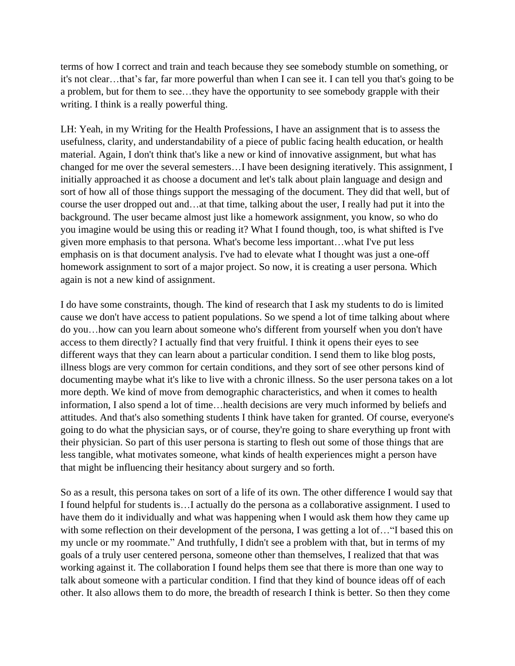terms of how I correct and train and teach because they see somebody stumble on something, or it's not clear…that's far, far more powerful than when I can see it. I can tell you that's going to be a problem, but for them to see…they have the opportunity to see somebody grapple with their writing. I think is a really powerful thing.

LH: Yeah, in my Writing for the Health Professions, I have an assignment that is to assess the usefulness, clarity, and understandability of a piece of public facing health education, or health material. Again, I don't think that's like a new or kind of innovative assignment, but what has changed for me over the several semesters…I have been designing iteratively. This assignment, I initially approached it as choose a document and let's talk about plain language and design and sort of how all of those things support the messaging of the document. They did that well, but of course the user dropped out and…at that time, talking about the user, I really had put it into the background. The user became almost just like a homework assignment, you know, so who do you imagine would be using this or reading it? What I found though, too, is what shifted is I've given more emphasis to that persona. What's become less important…what I've put less emphasis on is that document analysis. I've had to elevate what I thought was just a one-off homework assignment to sort of a major project. So now, it is creating a user persona. Which again is not a new kind of assignment.

I do have some constraints, though. The kind of research that I ask my students to do is limited cause we don't have access to patient populations. So we spend a lot of time talking about where do you…how can you learn about someone who's different from yourself when you don't have access to them directly? I actually find that very fruitful. I think it opens their eyes to see different ways that they can learn about a particular condition. I send them to like blog posts, illness blogs are very common for certain conditions, and they sort of see other persons kind of documenting maybe what it's like to live with a chronic illness. So the user persona takes on a lot more depth. We kind of move from demographic characteristics, and when it comes to health information, I also spend a lot of time…health decisions are very much informed by beliefs and attitudes. And that's also something students I think have taken for granted. Of course, everyone's going to do what the physician says, or of course, they're going to share everything up front with their physician. So part of this user persona is starting to flesh out some of those things that are less tangible, what motivates someone, what kinds of health experiences might a person have that might be influencing their hesitancy about surgery and so forth.

So as a result, this persona takes on sort of a life of its own. The other difference I would say that I found helpful for students is…I actually do the persona as a collaborative assignment. I used to have them do it individually and what was happening when I would ask them how they came up with some reflection on their development of the persona, I was getting a lot of... "I based this on my uncle or my roommate." And truthfully, I didn't see a problem with that, but in terms of my goals of a truly user centered persona, someone other than themselves, I realized that that was working against it. The collaboration I found helps them see that there is more than one way to talk about someone with a particular condition. I find that they kind of bounce ideas off of each other. It also allows them to do more, the breadth of research I think is better. So then they come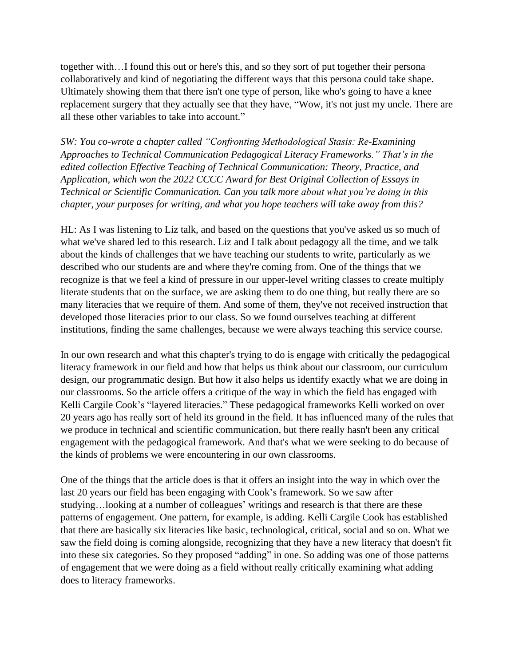together with…I found this out or here's this, and so they sort of put together their persona collaboratively and kind of negotiating the different ways that this persona could take shape. Ultimately showing them that there isn't one type of person, like who's going to have a knee replacement surgery that they actually see that they have, "Wow, it's not just my uncle. There are all these other variables to take into account."

*SW: You co-wrote a chapter called "Confronting Methodological Stasis: Re-Examining Approaches to Technical Communication Pedagogical Literacy Frameworks." That's in the edited collection Effective Teaching of Technical Communication: Theory, Practice, and Application, which won the 2022 CCCC Award for Best Original Collection of Essays in Technical or Scientific Communication. Can you talk more about what you're doing in this chapter, your purposes for writing, and what you hope teachers will take away from this?* 

HL: As I was listening to Liz talk, and based on the questions that you've asked us so much of what we've shared led to this research. Liz and I talk about pedagogy all the time, and we talk about the kinds of challenges that we have teaching our students to write, particularly as we described who our students are and where they're coming from. One of the things that we recognize is that we feel a kind of pressure in our upper-level writing classes to create multiply literate students that on the surface, we are asking them to do one thing, but really there are so many literacies that we require of them. And some of them, they've not received instruction that developed those literacies prior to our class. So we found ourselves teaching at different institutions, finding the same challenges, because we were always teaching this service course.

In our own research and what this chapter's trying to do is engage with critically the pedagogical literacy framework in our field and how that helps us think about our classroom, our curriculum design, our programmatic design. But how it also helps us identify exactly what we are doing in our classrooms. So the article offers a critique of the way in which the field has engaged with Kelli Cargile Cook's "layered literacies." These pedagogical frameworks Kelli worked on over 20 years ago has really sort of held its ground in the field. It has influenced many of the rules that we produce in technical and scientific communication, but there really hasn't been any critical engagement with the pedagogical framework. And that's what we were seeking to do because of the kinds of problems we were encountering in our own classrooms.

One of the things that the article does is that it offers an insight into the way in which over the last 20 years our field has been engaging with Cook's framework. So we saw after studying…looking at a number of colleagues' writings and research is that there are these patterns of engagement. One pattern, for example, is adding. Kelli Cargile Cook has established that there are basically six literacies like basic, technological, critical, social and so on. What we saw the field doing is coming alongside, recognizing that they have a new literacy that doesn't fit into these six categories. So they proposed "adding" in one. So adding was one of those patterns of engagement that we were doing as a field without really critically examining what adding does to literacy frameworks.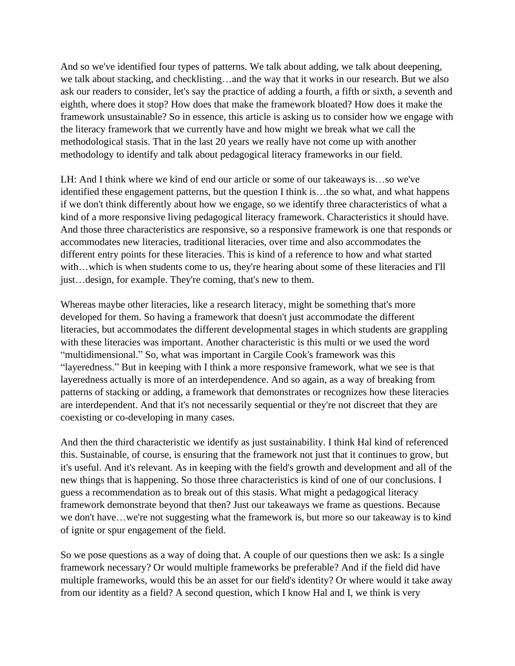And so we've identified four types of patterns. We talk about adding, we talk about deepening, we talk about stacking, and checklisting…and the way that it works in our research. But we also ask our readers to consider, let's say the practice of adding a fourth, a fifth or sixth, a seventh and eighth, where does it stop? How does that make the framework bloated? How does it make the framework unsustainable? So in essence, this article is asking us to consider how we engage with the literacy framework that we currently have and how might we break what we call the methodological stasis. That in the last 20 years we really have not come up with another methodology to identify and talk about pedagogical literacy frameworks in our field.

LH: And I think where we kind of end our article or some of our takeaways is…so we've identified these engagement patterns, but the question I think is…the so what, and what happens if we don't think differently about how we engage, so we identify three characteristics of what a kind of a more responsive living pedagogical literacy framework. Characteristics it should have. And those three characteristics are responsive, so a responsive framework is one that responds or accommodates new literacies, traditional literacies, over time and also accommodates the different entry points for these literacies. This is kind of a reference to how and what started with...which is when students come to us, they're hearing about some of these literacies and I'll just…design, for example. They're coming, that's new to them.

Whereas maybe other literacies, like a research literacy, might be something that's more developed for them. So having a framework that doesn't just accommodate the different literacies, but accommodates the different developmental stages in which students are grappling with these literacies was important. Another characteristic is this multi or we used the word "multidimensional." So, what was important in Cargile Cook's framework was this "layeredness." But in keeping with I think a more responsive framework, what we see is that layeredness actually is more of an interdependence. And so again, as a way of breaking from patterns of stacking or adding, a framework that demonstrates or recognizes how these literacies are interdependent. And that it's not necessarily sequential or they're not discreet that they are coexisting or co-developing in many cases.

And then the third characteristic we identify as just sustainability. I think Hal kind of referenced this. Sustainable, of course, is ensuring that the framework not just that it continues to grow, but it's useful. And it's relevant. As in keeping with the field's growth and development and all of the new things that is happening. So those three characteristics is kind of one of our conclusions. I guess a recommendation as to break out of this stasis. What might a pedagogical literacy framework demonstrate beyond that then? Just our takeaways we frame as questions. Because we don't have…we're not suggesting what the framework is, but more so our takeaway is to kind of ignite or spur engagement of the field.

So we pose questions as a way of doing that. A couple of our questions then we ask: Is a single framework necessary? Or would multiple frameworks be preferable? And if the field did have multiple frameworks, would this be an asset for our field's identity? Or where would it take away from our identity as a field? A second question, which I know Hal and I, we think is very